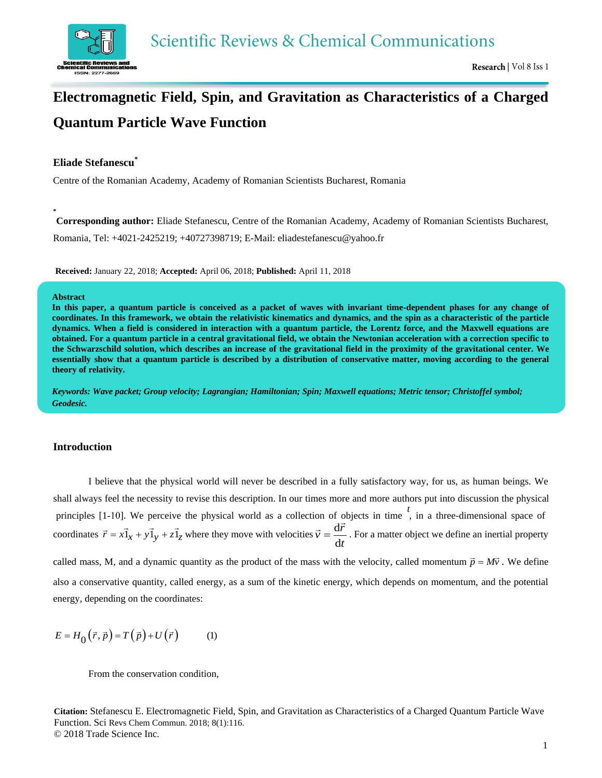

# **Electromagnetic Field, Spin, and Gravitation as Characteristics of a Charged Quantum Particle Wave Function**

## **Eliade Stefanescu\***

Centre of the Romanian Academy, Academy of Romanian Scientists Bucharest, Romania

**Corresponding author:** Eliade Stefanescu, Centre of the Romanian Academy, Academy of Romanian Scientists Bucharest, Romania, Tel: +4021-2425219; +40727398719; E-Mail[: eliadestefanescu@yahoo.fr](mailto:eliadestefanescu@yahoo.fr) 

**Received:** January 22, 2018; **Accepted:** April 06, 2018; **Published:** April 11, 2018

#### **Abstract**

**\***

In this paper, a quantum particle is conceived as a packet of waves with invariant time-dependent phases for any change of **coordinates. In this framework, we obtain the relativistic kinematics and dynamics, and the spin as a characteristic of the particle dynamics. When a field is considered in interaction with a quantum particle, the Lorentz force, and the Maxwell equations are obtained. For a quantum particle in a central gravitational field, we obtain the Newtonian acceleration with a correction specific to the Schwarzschild solution, which describes an increase of the gravitational field in the proximity of the gravitational center. We essentially show that a quantum particle is described by a distribution of conservative matter, moving according to the general theory of relativity.** 

*Keywords: Wave packet; Group velocity; Lagrangian; Hamiltonian; Spin; Maxwell equations; Metric tensor; Christoffel symbol; Geodesic.* 

#### **Introduction**

*t* coordinates  $\vec{r} = x\vec{1}_x + y\vec{1}_y + z\vec{1}_z$  where they move with velocities  $\vec{v} = \frac{dr}{dt}$  $\vec{v} = \frac{\mathrm{d}\vec{r}}{r}$ d  $\vec{v} = \frac{d\vec{r}}{dt}$ . For a matter object we define an inertial property principles [1-10]. We perceive the physical world as a collection of objects in time  $\dot{ }$ , in a three-dimensional space of called mass, M, and a dynamic quantity as the product of the mass with the velocity, called momentum  $\vec{p} = M\vec{v}$ . We define also a conservative quantity, called energy, as a sum of the kinetic energy, which depends on momentum, and the potential energy, depending on the coordinates: I believe that the physical world will never be described in a fully satisfactory way, for us, as human beings. We shall always feel the necessity to revise this description. In our times more and more authors put into discussion the physical

$$
E = H_0(\vec{r}, \vec{p}) = T(\vec{p}) + U(\vec{r})
$$
 (1)

From the conservation condition,

**Citation:** Stefanescu E. Electromagnetic Field, Spin, and Gravitation as Characteristics of a Charged Quantum Particle Wave Function. Sci Revs Chem Commun. 2018; 8(1):116. © 2018 Trade Science Inc.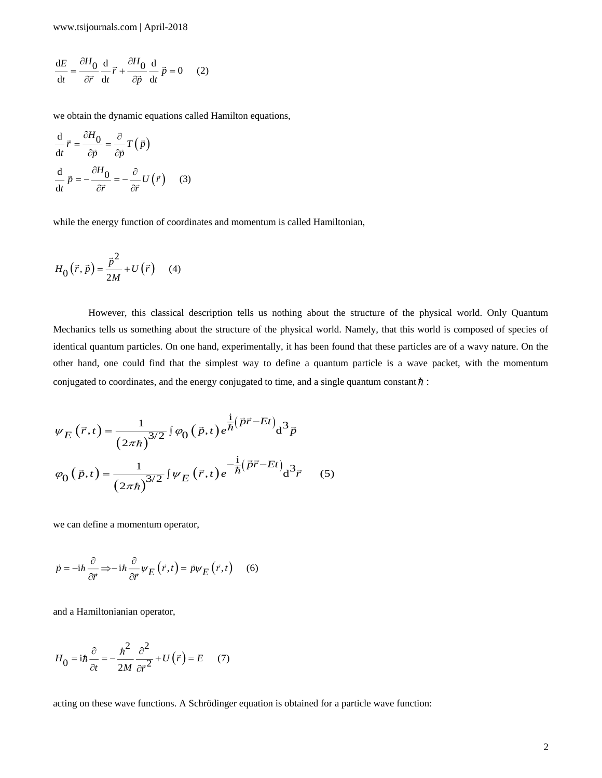$$
\frac{dE}{dt} = \frac{\partial H_0}{\partial \vec{r}} \frac{d}{dt} \vec{r} + \frac{\partial H_0}{\partial \vec{p}} \frac{d}{dt} \vec{p} = 0 \quad (2)
$$

we obtain the dynamic equations called Hamilton equations,

$$
\frac{\mathrm{d}}{\mathrm{d}t}\vec{r} = \frac{\partial H_0}{\partial \vec{p}} = \frac{\partial}{\partial \vec{p}}T(\vec{p})
$$

$$
\frac{\mathrm{d}}{\mathrm{d}t}\vec{p} = -\frac{\partial H_0}{\partial \vec{r}} = -\frac{\partial}{\partial \vec{r}}U(\vec{r})\qquad(3)
$$

while the energy function of coordinates and momentum is called Hamiltonian,

$$
H_0(\vec{r}, \vec{p}) = \frac{\vec{p}^2}{2M} + U(\vec{r}) \quad (4)
$$

However, this classical description tells us nothing about the structure of the physical world. Only Quantum Mechanics tells us something about the structure of the physical world. Namely, that this world is composed of species of identical quantum particles. On one hand, experimentally, it has been found that these particles are of a wavy nature. On the other hand, one could find that the simplest way to define a quantum particle is a wave packet, with the momentum conjugated to coordinates, and the energy conjugated to time, and a single quantum constant  $\hbar$ :

$$
\psi_{E}(\vec{r},t) = \frac{1}{(2\pi\hbar)^{3/2}} \int \varphi_{0}(\vec{p},t) e^{\frac{i}{\hbar}(\vec{p}\vec{r}-Et)} d^{3}\vec{p}
$$

$$
\varphi_{0}(\vec{p},t) = \frac{1}{(2\pi\hbar)^{3/2}} \int \psi_{E}(\vec{r},t) e^{-\frac{i}{\hbar}(\vec{p}\vec{r}-Et)} d^{3}\vec{r}
$$
(5)

we can define a momentum operator,

$$
\vec{p} = -i\hbar \frac{\partial}{\partial \vec{r}} \Longrightarrow -i\hbar \frac{\partial}{\partial \vec{r}} \psi_E(\vec{r}, t) = \vec{p} \psi_E(\vec{r}, t) \quad (6)
$$

and a Hamiltonianian operator,

$$
H_0 = i\hbar \frac{\partial}{\partial t} = -\frac{\hbar^2}{2M} \frac{\partial^2}{\partial \vec{r}^2} + U(\vec{r}) = E \quad (7)
$$

acting on these wave functions. A Schrödinger equation is obtained for a particle wave function: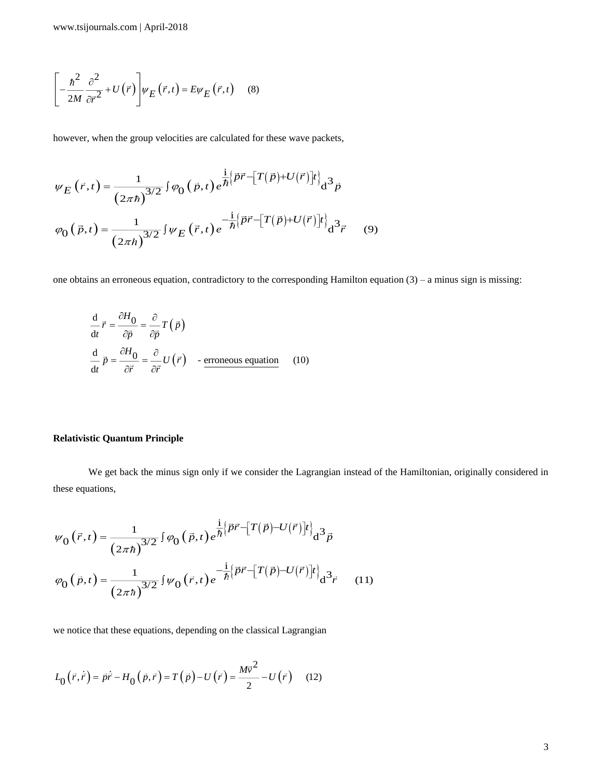$$
\left[-\frac{\hbar^2}{2M}\frac{\partial^2}{\partial \vec{r}^2} + U(\vec{r})\right]\psi_E(\vec{r},t) = E\psi_E(\vec{r},t) \quad (8)
$$

however, when the group velocities are calculated for these wave packets,

$$
\psi_E(\vec{r},t) = \frac{1}{(2\pi\hbar)^{3/2}} \int \varphi_0(\vec{p},t) e^{\frac{i}{\hbar} \left\{\vec{p}\vec{r} - \left[T(\vec{p}) + U(\vec{r})\right]t\right\}} d^3 \vec{p}
$$

$$
\varphi_0(\vec{p},t) = \frac{1}{(2\pi\hbar)^{3/2}} \int \psi_E(\vec{r},t) e^{-\frac{i}{\hbar} \left\{\vec{p}\vec{r} - \left[T(\vec{p}) + U(\vec{r})\right]t\right\}} d^3 \vec{r}
$$
(9)

one obtains an erroneous equation, contradictory to the corresponding Hamilton equation (3) – a minus sign is missing:

$$
\frac{d}{dt}\vec{r} = \frac{\partial H_0}{\partial \vec{p}} = \frac{\partial}{\partial \vec{p}}T(\vec{p})
$$
\n
$$
\frac{d}{dt}\vec{p} = \frac{\partial H_0}{\partial \vec{r}} = \frac{\partial}{\partial \vec{r}}U(\vec{r}) - \text{eroneous equation} \quad (10)
$$

## **Relativistic Quantum Principle**

We get back the minus sign only if we consider the Lagrangian instead of the Hamiltonian, originally considered in these equations,

$$
\psi_0(\vec{r},t) = \frac{1}{(2\pi\hbar)^{3/2}} \int \varphi_0(\vec{p},t) e^{\frac{i}{\hbar} \left\{\vec{p}\vec{r} - \left[T(\vec{p}) - U(\vec{r})\right]t\right\}} d^3 \vec{p}
$$

$$
\varphi_0(\vec{p},t) = \frac{1}{(2\pi\hbar)^{3/2}} \int \psi_0(\vec{r},t) e^{-\frac{i}{\hbar} \left\{\vec{p}\vec{r} - \left[T(\vec{p}) - U(\vec{r})\right]t\right\}} d^3 \vec{r}
$$
(11)

we notice that these equations, depending on the classical Lagrangian

$$
L_0(\vec{r}, \dot{\vec{r}}) = \vec{p}\dot{\vec{r}} - H_0(\vec{p}, \vec{r}) = T(\vec{p}) - U(\vec{r}) = \frac{M\vec{v}^2}{2} - U(\vec{r}) \quad (12)
$$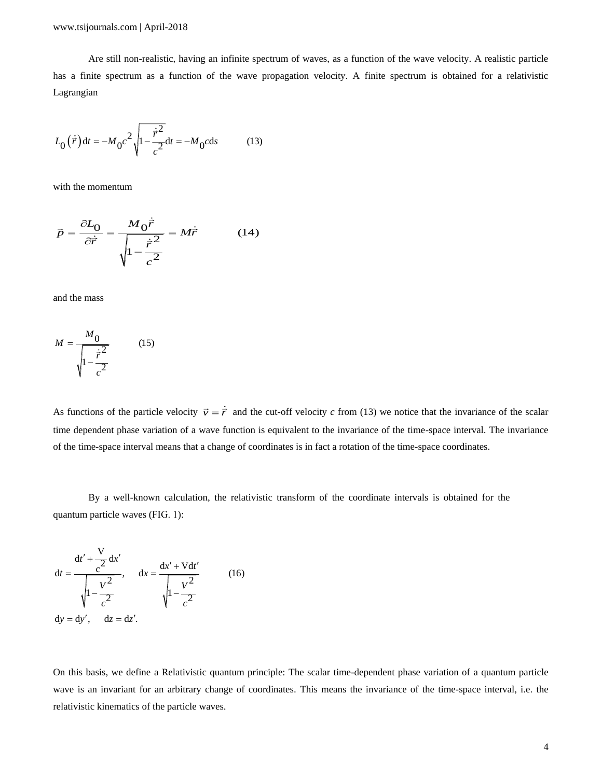Are still non-realistic, having an infinite spectrum of waves, as a function of the wave velocity. A realistic particle has a finite spectrum as a function of the wave propagation velocity. A finite spectrum is obtained for a relativistic Lagrangian

$$
L_0(\dot{\vec{r}})dt = -M_0 c^2 \sqrt{1 - \frac{\dot{\vec{r}}^2}{c^2}} dt = -M_0 c ds
$$
 (13)

with the momentum

$$
\vec{p} = \frac{\partial L_0}{\partial \dot{\vec{r}}} = \frac{M_0 \dot{\vec{r}}}{\sqrt{1 - \frac{\dot{\vec{r}}^2}{c^2}}} = M \dot{\vec{r}} \tag{14}
$$

and the mass

$$
M = \frac{M_0}{\sqrt{1 - \frac{\dot{\vec{r}}^2}{c^2}}}
$$
(15)

As functions of the particle velocity  $\vec{v} = \dot{\vec{r}}$  and the cut-off velocity c from (13) we notice that the invariance of the scalar time dependent phase variation of a wave function is equivalent to the invariance of the time-space interval. The invariance of the time-space interval means that a change of coordinates is in fact a rotation of the time-space coordinates.

By a well-known calculation, the relativistic transform of the coordinate intervals is obtained for the quantum particle waves (FIG. 1):

$$
dt = \frac{dt' + \frac{V}{c^2} dx'}{\sqrt{1 - \frac{V^2}{c^2}}}, \quad dx = \frac{dx' + Vdt'}{\sqrt{1 - \frac{V^2}{c^2}}}
$$
(16)  
dy = dy', dz = dz'.

On this basis, we define a Relativistic quantum principle: The scalar time-dependent phase variation of a quantum particle wave is an invariant for an arbitrary change of coordinates. This means the invariance of the time-space interval, i.e. the relativistic kinematics of the particle waves.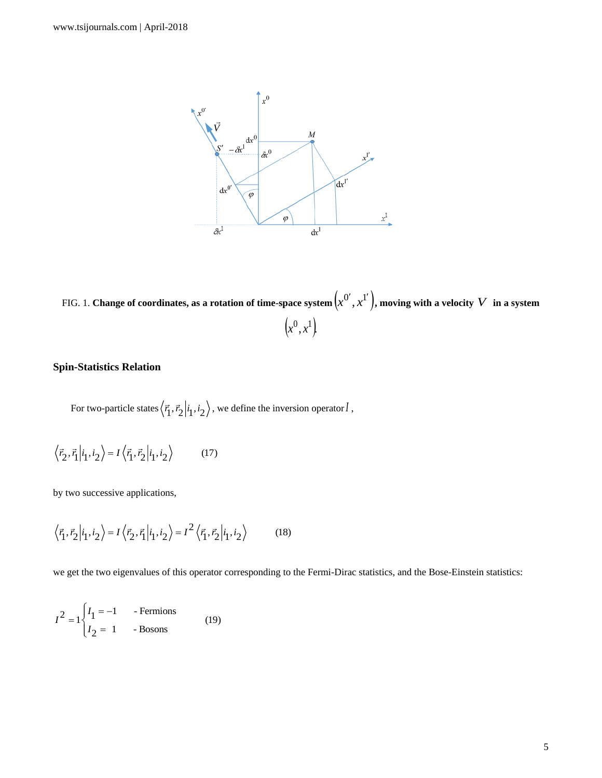

FIG. 1. **Change of coordinates, as a rotation of time-space system**  $\left( x^{0^{\prime}},x^{1^{\prime}}\right) ,$  $\{x^{0'}, x^{1'}\}$ , moving with a velocity  $V$  in a system  $\left(x^0, x^1\right)$ 

## **Spin-Statistics Relation**

For two-particle states  $\langle \vec{r}_1, \vec{r}_2 | i_1, i_2 \rangle$ , we define the inversion operator  $I$ ,

$$
\langle \vec{r}_2, \vec{r}_1 | i_1, i_2 \rangle = I \langle \vec{r}_1, \vec{r}_2 | i_1, i_2 \rangle \tag{17}
$$

by two successive applications,

$$
\langle \vec{r}_1, \vec{r}_2 | i_1, i_2 \rangle = I \langle \vec{r}_2, \vec{r}_1 | i_1, i_2 \rangle = I^2 \langle \vec{r}_1, \vec{r}_2 | i_1, i_2 \rangle \tag{18}
$$

we get the two eigenvalues of this operator corresponding to the Fermi-Dirac statistics, and the Bose-Einstein statistics:

$$
I2 = 1 \begin{cases} I1 = -1 & -Fermions \\ I2 = 1 & -Bosons \end{cases}
$$
 (19)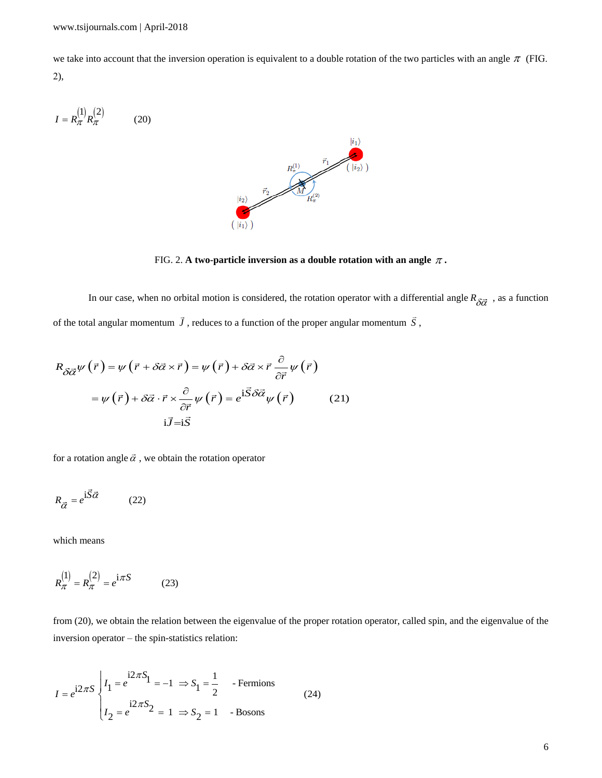we take into account that the inversion operation is equivalent to a double rotation of the two particles with an angle  $\pi$  (FIG. 2),

 1 2 *I R R* (20) 

FIG. 2. A two-particle inversion as a double rotation with an angle  $\pi$ .

In our case, when no orbital motion is considered, the rotation operator with a differential angle  $R_{\delta \vec{\alpha}}$ , as a function

of the total angular momentum 
$$
\vec{J}
$$
, reduces to a function of the proper angular momentum  $\vec{S}$ ,  
\n
$$
R_{\delta \vec{\alpha}} \psi (\vec{r}) = \psi (\vec{r} + \delta \vec{\alpha} \times \vec{r}) = \psi (\vec{r}) + \delta \vec{\alpha} \times \vec{r} \frac{\partial}{\partial \vec{r}} \psi (\vec{r})
$$
\n
$$
= \psi (\vec{r}) + \delta \vec{\alpha} \cdot \vec{r} \times \frac{\partial}{\partial \vec{r}} \psi (\vec{r}) = e^{i \vec{S} \delta \vec{\alpha}} \psi (\vec{r}) \qquad (21)
$$
\n
$$
i \vec{J} = i \vec{S}
$$

for a rotation angle  $\vec{\alpha}$ , we obtain the rotation operator

$$
R_{\vec{\alpha}} = e^{\mathbf{i}\vec{S}\vec{\alpha}} \tag{22}
$$

which means

$$
R_{\pi}^{(1)} = R_{\pi}^{(2)} = e^{i\pi S}
$$
 (23)

from (20), we obtain the relation between the eigenvalue of the proper rotation operator, called spin, and the eigenvalue of the inversion operator – the spin-statistics relation:

$$
I = e^{i2\pi S} \begin{cases} I_1 = e^{i2\pi S} & 1 = -1 \implies S_1 = \frac{1}{2} \\ I_2 = e^{i2\pi S} & 2 = 1 \implies S_2 = 1 \end{cases} \text{ - Fermions} \tag{24}
$$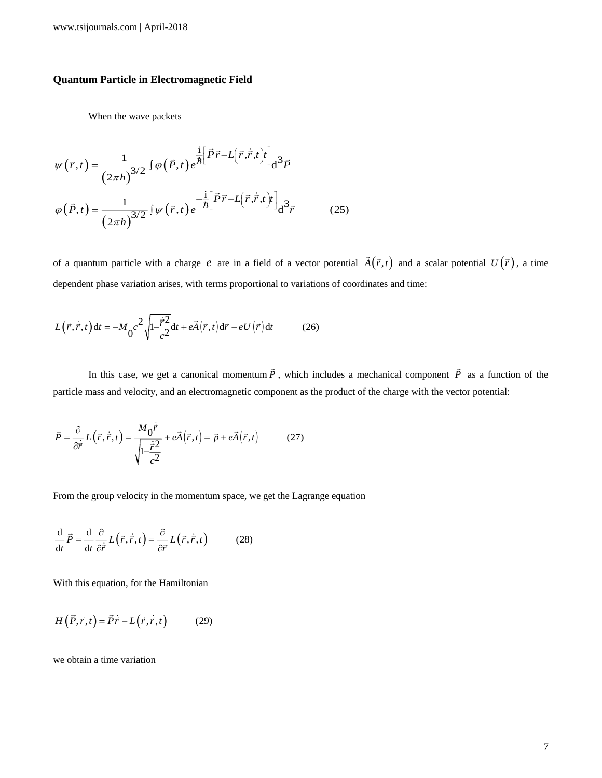#### **Quantum Particle in Electromagnetic Field**

When the wave packets

$$
\psi(\vec{r},t) = \frac{1}{(2\pi h)^{3/2}} \int \varphi(\vec{P},t) e^{\frac{i}{\hbar} \left[\vec{P}\vec{r} - L(\vec{r},\dot{\vec{r}},t)\right]} d^3 \vec{P}
$$

$$
\varphi(\vec{P},t) = \frac{1}{(2\pi h)^{3/2}} \int \psi(\vec{r},t) e^{-\frac{i}{\hbar} \left[\vec{P}\vec{r} - L(\vec{r},\dot{\vec{r}},t)\right]} d^3 \vec{r}
$$
(25)

of a quantum particle with a charge e are in a field of a vector potential  $\vec{A}(\vec{r},t)$  and a scalar potential  $U(\vec{r})$ , a time dependent phase variation arises, with terms proportional to variations of coordinates and time:

$$
L(\vec{r}, \dot{\vec{r}}, t) dt = -M_0 c^2 \sqrt{1 - \frac{\dot{\vec{r}}^2}{c^2}} dt + e\vec{A}(\vec{r}, t) d\vec{r} - eU(\vec{r}) dt \qquad (26)
$$

In this case, we get a canonical momentum  $\vec{P}$ , which includes a mechanical component  $\vec{P}$  as a function of the particle mass and velocity, and an electromagnetic component as the product of the charge with the vector potential:

$$
\vec{P} = \frac{\partial}{\partial \vec{r}} L(\vec{r}, \dot{\vec{r}}, t) = \frac{M_0 \dot{\vec{r}}}{\sqrt{1 - \frac{\dot{\vec{r}}^2}{c^2}}} + e\vec{A}(\vec{r}, t) = \vec{p} + e\vec{A}(\vec{r}, t)
$$
(27)

From the group velocity in the momentum space, we get the Lagrange equation

$$
\frac{\mathrm{d}}{\mathrm{d}t}\vec{P} = \frac{\mathrm{d}}{\mathrm{d}t}\frac{\partial}{\partial\vec{r}}L(\vec{r},\dot{\vec{r}},t) = \frac{\partial}{\partial\vec{r}}L(\vec{r},\dot{\vec{r}},t) \tag{28}
$$

With this equation, for the Hamiltonian

$$
H(\vec{P}, \vec{r}, t) = \vec{P}\vec{r} - L(\vec{r}, \vec{r}, t)
$$
 (29)

we obtain a time variation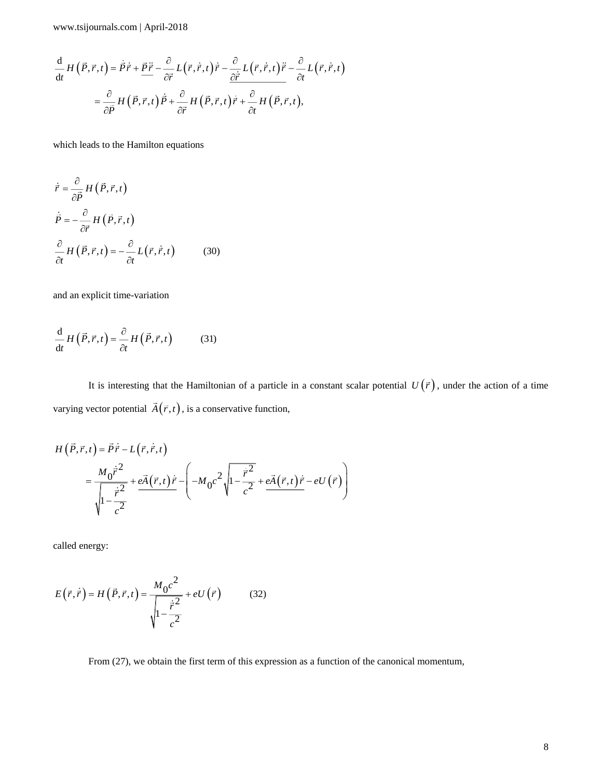$$
\frac{\mathrm{d}}{\mathrm{d}t} H(\vec{P}, \vec{r}, t) = \dot{\vec{P}} \dot{\vec{r}} + \frac{\vec{P} \ddot{\vec{r}}}{\partial \vec{r}} - \frac{\partial}{\partial \vec{r}} L(\vec{r}, \dot{\vec{r}}, t) \dot{\vec{r}} - \frac{\partial}{\partial \dot{\vec{r}}} L(\vec{r}, \dot{\vec{r}}, t) \ddot{\vec{r}} - \frac{\partial}{\partial t} L(\vec{r}, \dot{\vec{r}}, t) \n= \frac{\partial}{\partial \vec{P}} H(\vec{P}, \vec{r}, t) \dot{\vec{P}} + \frac{\partial}{\partial \vec{r}} H(\vec{P}, \vec{r}, t) \dot{\vec{r}} + \frac{\partial}{\partial t} H(\vec{P}, \vec{r}, t),
$$

which leads to the Hamilton equations

$$
\dot{\vec{r}} = \frac{\partial}{\partial \vec{P}} H(\vec{P}, \vec{r}, t)
$$
  
\n
$$
\dot{\vec{P}} = -\frac{\partial}{\partial \vec{r}} H(\vec{P}, \vec{r}, t)
$$
  
\n
$$
\frac{\partial}{\partial t} H(\vec{P}, \vec{r}, t) = -\frac{\partial}{\partial t} L(\vec{r}, \dot{\vec{r}}, t)
$$
(30)

and an explicit time-variation

$$
\frac{\mathrm{d}}{\mathrm{d}t} H(\vec{P}, \vec{r}, t) = \frac{\partial}{\partial t} H(\vec{P}, \vec{r}, t) \tag{31}
$$

It is interesting that the Hamiltonian of a particle in a constant scalar potential  $U(\vec{r})$ , under the action of a time varying vector potential  $\vec{A}(\vec{r},t)$ , is a conservative function,

$$
H(\vec{P}, \vec{r}, t) = \vec{P}\dot{\vec{r}} - L(\vec{r}, \dot{\vec{r}}, t)
$$
  
= 
$$
\frac{M_0 \dot{\vec{r}}^2}{\sqrt{1 - \frac{\dot{\vec{r}}^2}{c^2}}} + e\vec{A}(\vec{r}, t)\dot{\vec{r}} - \left(-M_0 c^2 \sqrt{1 - \frac{\dot{\vec{r}}^2}{c^2}} + e\vec{A}(\vec{r}, t)\dot{\vec{r}} - eU(\vec{r})\right)
$$

called energy:

$$
E(\vec{r}, \dot{\vec{r}}) = H(\vec{P}, \vec{r}, t) = \frac{M_0 c^2}{\sqrt{1 - \frac{\dot{\vec{r}}^2}{c^2}}} + eU(\vec{r})
$$
(32)

From (27), we obtain the first term of this expression as a function of the canonical momentum,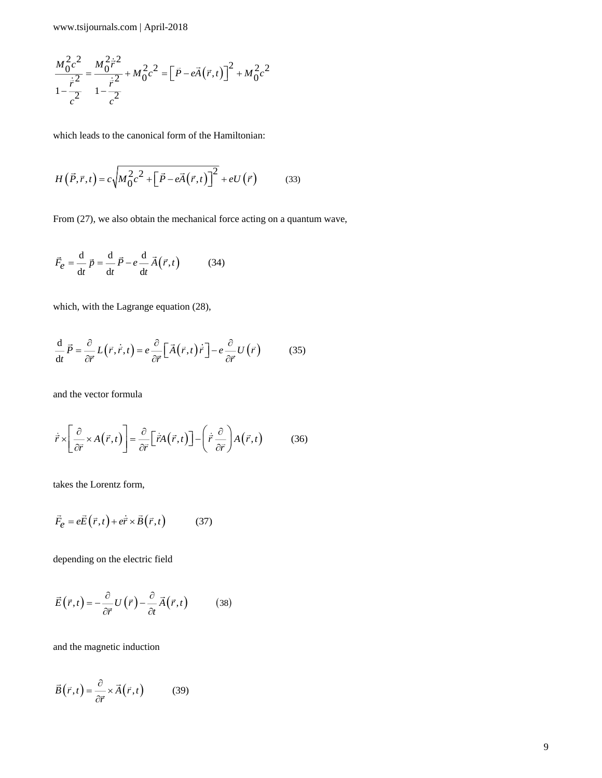$$
\frac{M_0^2 c^2}{1 - \frac{\dot{r}^2}{c^2}} = \frac{M_0^2 \dot{r}^2}{1 - \frac{\dot{r}^2}{c^2}} + M_0^2 c^2 = \left[\vec{P} - e\vec{A}(\vec{r}, t)\right]^2 + M_0^2 c^2
$$

which leads to the canonical form of the Hamiltonian:

$$
H(\vec{P}, \vec{r}, t) = c \sqrt{M_0^2 c^2 + [\vec{P} - e\vec{A}(\vec{r}, t)]^2} + eU(\vec{r})
$$
 (33)

From (27), we also obtain the mechanical force acting on a quantum wave,

$$
\vec{F}_e = \frac{d}{dt}\vec{p} = \frac{d}{dt}\vec{P} - e\frac{d}{dt}\vec{A}(\vec{r},t) \tag{34}
$$

which, with the Lagrange equation (28),

$$
\frac{\mathrm{d}}{\mathrm{d}t}\vec{P} = \frac{\partial}{\partial\vec{r}}L(\vec{r},\dot{\vec{r}},t) = e\frac{\partial}{\partial\vec{r}}\left[\vec{A}(\vec{r},t)\dot{\vec{r}}\right] - e\frac{\partial}{\partial\vec{r}}U(\vec{r})\tag{35}
$$

and the vector formula

$$
\dot{\vec{r}} \times \left[ \frac{\partial}{\partial \vec{r}} \times A(\vec{r}, t) \right] = \frac{\partial}{\partial \vec{r}} \left[ \dot{\vec{r}} A(\vec{r}, t) \right] - \left( \dot{\vec{r}} \frac{\partial}{\partial \vec{r}} \right) A(\vec{r}, t) \tag{36}
$$

takes the Lorentz form,

$$
\vec{F}_e = e\vec{E}(\vec{r},t) + e\dot{\vec{r}} \times \vec{B}(\vec{r},t)
$$
 (37)

depending on the electric field

$$
\vec{E}(\vec{r},t) = -\frac{\partial}{\partial \vec{r}} U(\vec{r}) - \frac{\partial}{\partial t} \vec{A}(\vec{r},t)
$$
(38)

and the magnetic induction

$$
\vec{B}(\vec{r},t) = \frac{\partial}{\partial \vec{r}} \times \vec{A}(\vec{r},t)
$$
(39)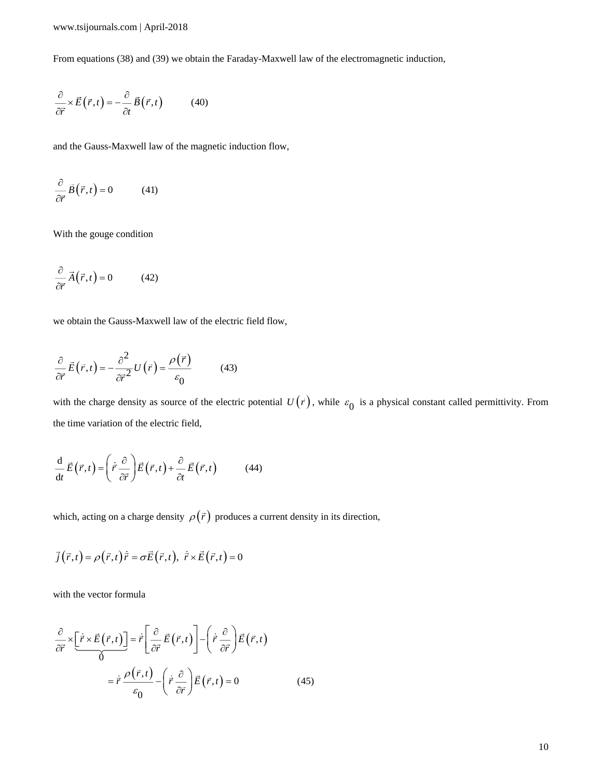From equations (38) and (39) we obtain the Faraday-Maxwell law of the electromagnetic induction,

$$
\frac{\partial}{\partial \vec{r}} \times \vec{E}(\vec{r}, t) = -\frac{\partial}{\partial t} \vec{B}(\vec{r}, t)
$$
(40)

and the Gauss-Maxwell law of the magnetic induction flow,

$$
\frac{\partial}{\partial \vec{r}} \vec{B}(\vec{r}, t) = 0 \tag{41}
$$

With the gouge condition

$$
\frac{\partial}{\partial \vec{r}} \vec{A}(\vec{r}, t) = 0 \tag{42}
$$

we obtain the Gauss-Maxwell law of the electric field flow,

$$
\frac{\partial}{\partial \vec{r}} \vec{E}(\vec{r}, t) = -\frac{\partial^2}{\partial \vec{r}^2} U(\vec{r}) = \frac{\rho(\vec{r})}{\varepsilon_0}
$$
(43)

with the charge density as source of the electric potential  $U(\vec{r})$ , while  $\varepsilon_0$  is a physical constant called permittivity. From the time variation of the electric field,

$$
\frac{\mathrm{d}}{\mathrm{d}t}\vec{E}(\vec{r},t) = \left(\dot{\vec{r}}\frac{\partial}{\partial\vec{r}}\right)\vec{E}(\vec{r},t) + \frac{\partial}{\partial t}\vec{E}(\vec{r},t) \tag{44}
$$

which, acting on a charge density  $\rho(\vec{r})$  produces a current density in its direction,

$$
\vec{j}(\vec{r},t) = \rho(\vec{r},t)\dot{\vec{r}} = \sigma \vec{E}(\vec{r},t), \ \dot{\vec{r}} \times \vec{E}(\vec{r},t) = 0
$$

with the vector formula

$$
\frac{\partial}{\partial \vec{r}} \times \left[ \frac{\dot{\vec{r}} \times \vec{E}(\vec{r}, t) \right] = \dot{\vec{r}} \left[ \frac{\partial}{\partial \vec{r}} \vec{E}(\vec{r}, t) \right] - \left( \dot{\vec{r}} \frac{\partial}{\partial \vec{r}} \right) \vec{E}(\vec{r}, t)
$$

$$
= \dot{\vec{r}} \frac{\rho(\vec{r}, t)}{\varepsilon_0} - \left( \dot{\vec{r}} \frac{\partial}{\partial \vec{r}} \right) \vec{E}(\vec{r}, t) = 0 \tag{45}
$$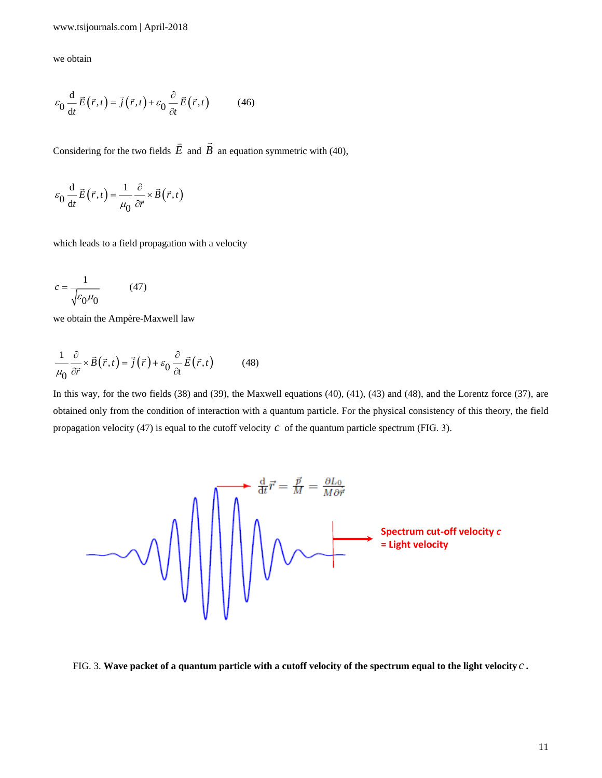we obtain

$$
\varepsilon_0 \frac{\mathrm{d}}{\mathrm{d}t} \vec{E}(\vec{r},t) = \vec{j}(\vec{r},t) + \varepsilon_0 \frac{\partial}{\partial t} \vec{E}(\vec{r},t) \tag{46}
$$

Considering for the two fields *E*  $\overline{a}$  and *B*  $\rightarrow$ an equation symmetric with (40),

$$
\varepsilon_0 \frac{\mathrm{d}}{\mathrm{d}t} \vec{E}(\vec{r},t) = \frac{1}{\mu_0} \frac{\partial}{\partial \vec{r}} \times \vec{B}(\vec{r},t)
$$

which leads to a field propagation with a velocity

$$
c = \frac{1}{\sqrt{\varepsilon_0 \mu_0}}\tag{47}
$$

we obtain the Ampère-Maxwell law

$$
\frac{1}{\mu_0} \frac{\partial}{\partial \vec{r}} \times \vec{B}(\vec{r}, t) = \vec{j}(\vec{r}) + \varepsilon_0 \frac{\partial}{\partial t} \vec{E}(\vec{r}, t)
$$
(48)

propagation velocity (47) is equal to the cutoff velocity  $c$  of the quantum particle spectrum (FIG. 3). In this way, for the two fields (38) and (39), the Maxwell equations (40), (41), (43) and (48), and the Lorentz force (37), are obtained only from the condition of interaction with a quantum particle. For the physical consistency of this theory, the field



FIG. 3. **Wave packet of a quantum particle with a cutoff velocity of the spectrum equal to the light velocity** *<sup>c</sup>* **.**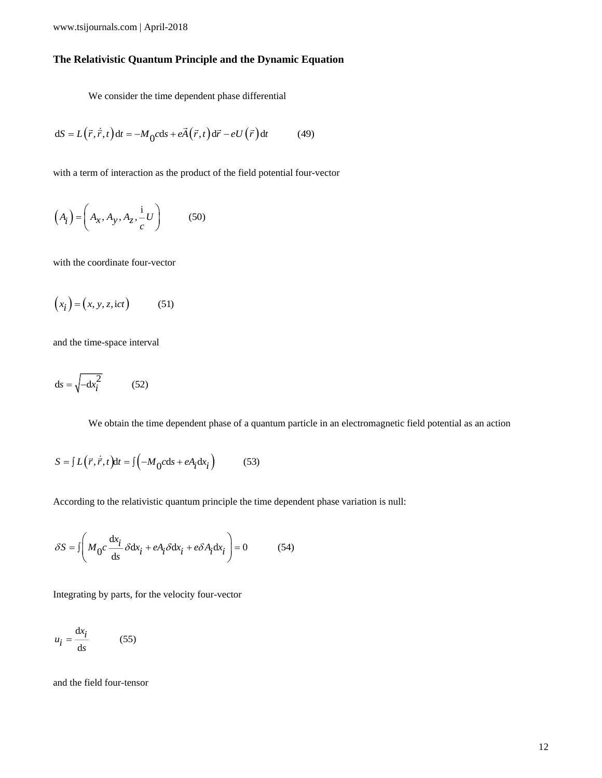## **The Relativistic Quantum Principle and the Dynamic Equation**

We consider the time dependent phase differential

$$
dS = L(\vec{r}, \dot{\vec{r}}, t) dt = -M_0 c ds + e \vec{A}(\vec{r}, t) d\vec{r} - e U(\vec{r}) dt \qquad (49)
$$

with a term of interaction as the product of the field potential four-vector

$$
\left(A_i\right) = \left(A_x, A_y, A_z, \frac{1}{c}U\right) \tag{50}
$$

with the coordinate four-vector

$$
(xi) = (x, y, z, \text{ict})
$$
 (51)

and the time-space interval

$$
ds = \sqrt{-dx_i^2} \tag{52}
$$

We obtain the time dependent phase of a quantum particle in an electromagnetic field potential as an action

$$
S = \int L(\vec{r}, \dot{\vec{r}}, t) dt = \int \left( -M_0 c ds + e A_i dx_i \right) \tag{53}
$$

According to the relativistic quantum principle the time dependent phase variation is null:

$$
\delta S = \iint M_0 c \frac{\mathrm{d}x_i}{\mathrm{d}s} \delta \mathrm{d}x_i + eA_i \delta \mathrm{d}x_i + e\delta A_i \mathrm{d}x_i \bigg) = 0 \tag{54}
$$

Integrating by parts, for the velocity four-vector

$$
u_i = \frac{\mathrm{d}x_i}{\mathrm{d}s} \tag{55}
$$

and the field four-tensor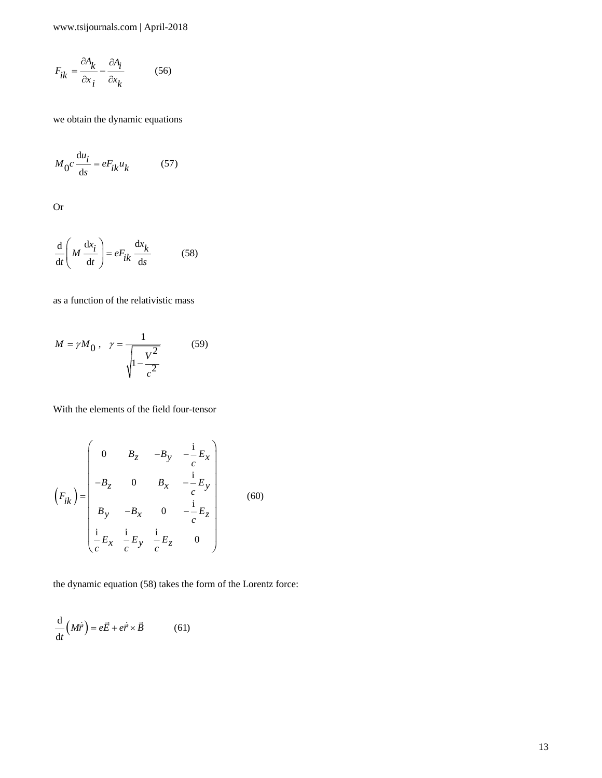$$
F_{ik} = \frac{\partial A_k}{\partial x_i} - \frac{\partial A_i}{\partial x_k}
$$
 (56)

we obtain the dynamic equations

$$
M_0 c \frac{\mathrm{d} u_i}{\mathrm{d} s} = e F_{ik} u_k \tag{57}
$$

Or

$$
\frac{\mathrm{d}}{\mathrm{d}t} \left( M \frac{\mathrm{d}x_i}{\mathrm{d}t} \right) = e F_{ik} \frac{\mathrm{d}x_k}{\mathrm{d}s} \tag{58}
$$

as a function of the relativistic mass

$$
M = \gamma M_0, \quad \gamma = \frac{1}{\sqrt{1 - \frac{V^2}{c^2}}} \tag{59}
$$

With the elements of the field four-tensor

$$
F_{ik} = \frac{\Delta u_i}{\Delta x_i} = eF_{ik}u_k
$$
 (56)  
\nWe obtain the dynamic equations  
\n
$$
M_0 c \frac{du_i}{dx} = eF_{ik}u_k
$$
 (57)  
\nOr  
\n
$$
\frac{d}{dt} \left(M \frac{dx_i}{dt}\right) = eF_{ik} \frac{dx_k}{ds}
$$
 (58)  
\nas a function of the relativistic mass  
\n
$$
M = \gamma M_0, \quad \gamma = \frac{1}{\sqrt{1 - \frac{V^2}{c^2}}}
$$
 (59)  
\nWith the elements of the field four-tensor  
\n
$$
\left(F_{ik}\right) = \begin{pmatrix} 0 & B_z & -B_y & -\frac{i}{c}E_x \\ -B_z & 0 & B_x & -\frac{i}{c}E_y \\ B_y & -B_x & 0 & -\frac{i}{c}E_z \\ \frac{i}{c}E_x & \frac{i}{c}E_y & \frac{i}{c}E_z & 0 \end{pmatrix}
$$
 (60)  
\nthe dynamic equation (58) takes the form of the Lorentz force:  
\n
$$
\frac{d}{dt} (M\vec{r}) = e\vec{E} + e\vec{r} \times \vec{B}
$$
 (61)

the dynamic equation (58) takes the form of the Lorentz force:

$$
\frac{\mathrm{d}}{\mathrm{d}t} (M\dot{\vec{r}}) = e\vec{E} + e\dot{\vec{r}} \times \vec{B} \tag{61}
$$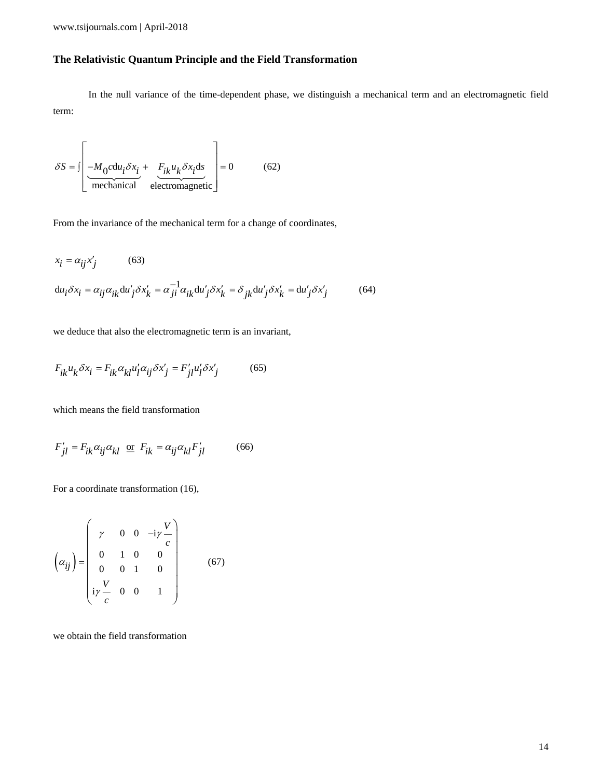## **The Relativistic Quantum Principle and the Field Transformation**

In the null variance of the time-dependent phase, we distinguish a mechanical term and an electromagnetic field term:

$$
\delta S = \int \left[ \underbrace{-M_0 c \, du_i \delta x_i}_{\text{mechanical}} + \underbrace{F_{ik} u_k \delta x_i \, ds}_{\text{electromagnetic}} \right] = 0 \tag{62}
$$

From the invariance of the mechanical term for a change of coordinates,

$$
x_i = \alpha_{ij} x'_j
$$
 (63)  

$$
du_i \delta x_i = \alpha_{ij} \alpha_{ik} du'_j \delta x'_k = \alpha_{ji}^{-1} \alpha_{ik} du'_j \delta x'_k = \delta_{jk} du'_j \delta x'_k = du'_j \delta x'_j
$$
 (64)

we deduce that also the electromagnetic term is an invariant,

$$
F_{ik}u_k \delta x_i = F_{ik} \alpha_{kl} u'_l \alpha_{ij} \delta x'_j = F'_{jl} u'_l \delta x'_j \tag{65}
$$

which means the field transformation

$$
F'_{jl} = F_{ik}\alpha_{ij}\alpha_{kl} \text{ or } F_{ik} = \alpha_{ij}\alpha_{kl}F'_{jl} \tag{66}
$$

For a coordinate transformation (16),

$$
\left(\alpha_{ij}\right) = \begin{pmatrix} \gamma & 0 & 0 & -i\gamma \frac{V}{c} \\ 0 & 1 & 0 & 0 \\ 0 & 0 & 1 & 0 \\ i\gamma \frac{V}{c} & 0 & 0 & 1 \end{pmatrix}
$$
(67)

we obtain the field transformation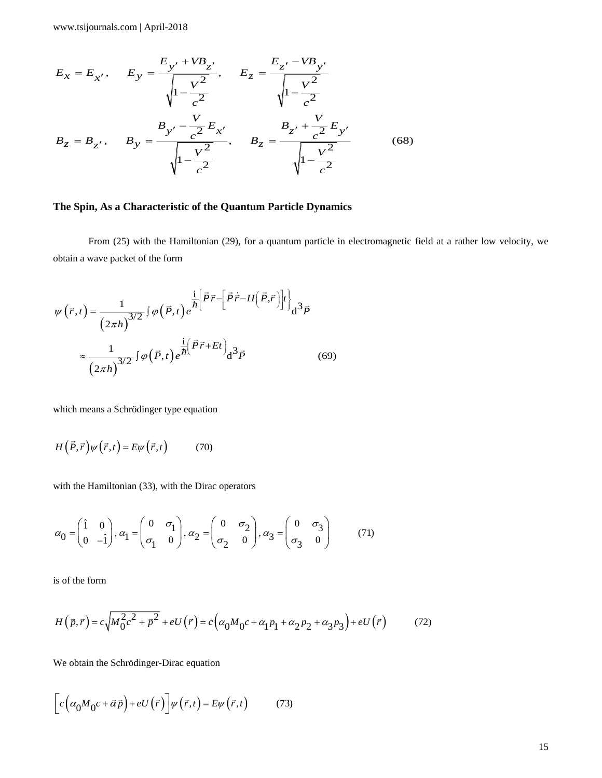$$
E_x = E_{x'}, \qquad E_y = \frac{E_{y'} + VB_{z'}}{\sqrt{1 - \frac{V^2}{c^2}}}, \qquad E_z = \frac{E_{z'} - VB_{y'}}{\sqrt{1 - \frac{V^2}{c^2}}}
$$

$$
B_z = B_{z'}, \qquad B_y = \frac{B_{y'} - \frac{V}{c^2}E_{x'}}{\sqrt{1 - \frac{V^2}{c^2}}}, \qquad B_z = \frac{B_{z'} + \frac{V}{c^2}E_{y'}}{\sqrt{1 - \frac{V^2}{c^2}}}
$$
(68)

## **The Spin, As a Characteristic of the Quantum Particle Dynamics**

From (25) with the Hamiltonian (29), for a quantum particle in electromagnetic field at a rather low velocity, we obtain a wave packet of the form

$$
\psi(\vec{r},t) = \frac{1}{(2\pi h)^{3/2}} \int \varphi(\vec{P},t) e^{\frac{i}{\hbar} \left\{\vec{P}\vec{r} - \left[\vec{P}\dot{\vec{r}} - H(\vec{P},\vec{r})\right]t\right\}} d^3\vec{P}
$$

$$
\approx \frac{1}{(2\pi h)^{3/2}} \int \varphi(\vec{P},t) e^{\frac{i}{\hbar} \left(\vec{P}\vec{r} + Et\right)} d^3\vec{P}
$$
(69)

which means a Schrödinger type equation

$$
H(\vec{P}, \vec{r})\psi(\vec{r}, t) = E\psi(\vec{r}, t)
$$
 (70)

with the Hamiltonian (33), with the Dirac operators

$$
\alpha_0 = \begin{pmatrix} \hat{1} & 0 \\ 0 & -\hat{1} \end{pmatrix}, \alpha_1 = \begin{pmatrix} 0 & \sigma_1 \\ \sigma_1 & 0 \end{pmatrix}, \alpha_2 = \begin{pmatrix} 0 & \sigma_2 \\ \sigma_2 & 0 \end{pmatrix}, \alpha_3 = \begin{pmatrix} 0 & \sigma_3 \\ \sigma_3 & 0 \end{pmatrix}
$$
(71)

is of the form

$$
H(\vec{p}, \vec{r}) = c \sqrt{M_0^2 c^2 + \vec{p}^2} + eU(\vec{r}) = c \left( \alpha_0 M_0 c + \alpha_1 p_1 + \alpha_2 p_2 + \alpha_3 p_3 \right) + eU(\vec{r}) \tag{72}
$$

We obtain the Schrödinger-Dirac equation

$$
\[c\Big(\alpha_0 M_0 c + \vec{\alpha}\,\vec{p}\Big) + eU\left(\vec{r}\right)\] \psi\left(\vec{r}, t\right) = E\psi\left(\vec{r}, t\right) \tag{73}
$$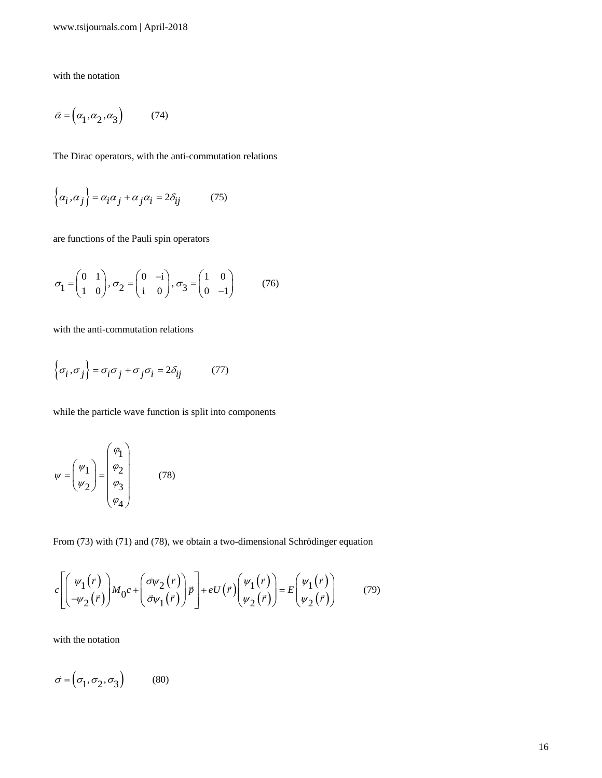with the notation

$$
\vec{\alpha} = \left(\alpha_1, \alpha_2, \alpha_3\right) \tag{74}
$$

The Dirac operators, with the anti-commutation relations

$$
\left\{\alpha_i, \alpha_j\right\} = \alpha_i \alpha_j + \alpha_j \alpha_i = 2\delta_{ij} \tag{75}
$$

are functions of the Pauli spin operators

$$
\sigma_1 = \begin{pmatrix} 0 & 1 \\ 1 & 0 \end{pmatrix}, \sigma_2 = \begin{pmatrix} 0 & -i \\ i & 0 \end{pmatrix}, \sigma_3 = \begin{pmatrix} 1 & 0 \\ 0 & -1 \end{pmatrix} \tag{76}
$$

with the anti-commutation relations

$$
\left\{\sigma_i, \sigma_j\right\} = \sigma_i \sigma_j + \sigma_j \sigma_i = 2\delta_{ij} \tag{77}
$$

while the particle wave function is split into components

$$
\psi = \begin{pmatrix} \psi_1 \\ \psi_2 \end{pmatrix} = \begin{pmatrix} \varphi_1 \\ \varphi_2 \\ \varphi_3 \\ \varphi_4 \end{pmatrix} \tag{78}
$$

From (73) with (71) and (78), we obtain a two-dimensional Schrödinger equation

$$
c \left[ \begin{pmatrix} \psi_1(\vec{r}) \\ -\psi_2(\vec{r}) \end{pmatrix} M_0 c + \begin{pmatrix} \vec{\sigma} \psi_2(\vec{r}) \\ \vec{\sigma} \psi_1(\vec{r}) \end{pmatrix} \vec{p} \right] + eU(\vec{r}) \begin{pmatrix} \psi_1(\vec{r}) \\ \psi_2(\vec{r}) \end{pmatrix} = E \begin{pmatrix} \psi_1(\vec{r}) \\ \psi_2(\vec{r}) \end{pmatrix}
$$
(79)

with the notation

$$
\vec{\sigma} = \left(\sigma_1, \sigma_2, \sigma_3\right) \tag{80}
$$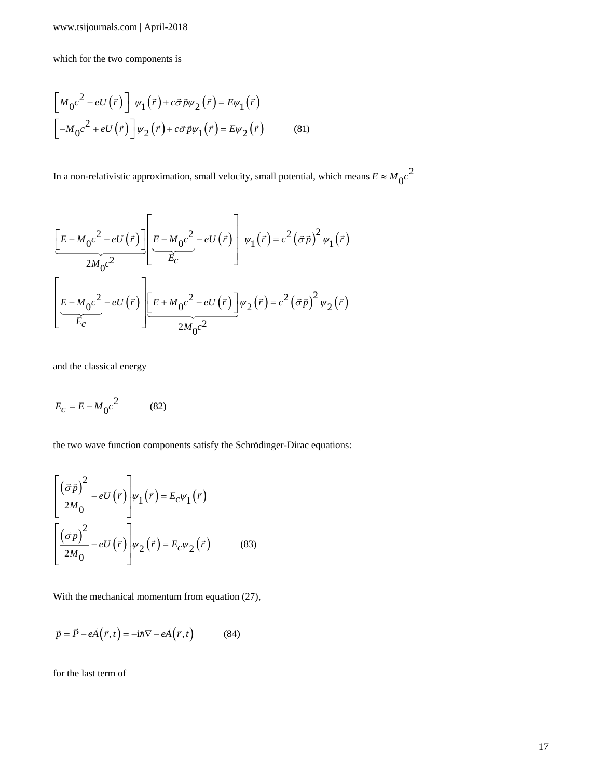which for the two components is

$$
\begin{bmatrix} M_0 c^2 + eU(\vec{r}) \end{bmatrix} \psi_1(\vec{r}) + c\vec{\sigma}\vec{p}\psi_2(\vec{r}) = E\psi_1(\vec{r})
$$
  

$$
\begin{bmatrix} -M_0 c^2 + eU(\vec{r}) \end{bmatrix} \psi_2(\vec{r}) + c\vec{\sigma}\vec{p}\psi_1(\vec{r}) = E\psi_2(\vec{r})
$$
 (81)

In a non-relativistic approximation, small velocity, small potential, which means  $E \approx M_0 c^2$  $E \approx M_0 c$ 

$$
\underbrace{\left[E+M_0c^2-eU(\vec{r})\right]}_{2M_0c^2} \underbrace{\left[E-M_0c^2-eU(\vec{r})\right]}_{E_c} \psi_1(\vec{r}) = c^2 (\vec{\sigma}\vec{p})^2 \psi_1(\vec{r})
$$
\n
$$
\underbrace{\left[E-M_0c^2-eU(\vec{r})\right]}_{E_c} \underbrace{\left[E+M_0c^2-eU(\vec{r})\right]}_{2M_0c^2} \psi_2(\vec{r}) = c^2 (\vec{\sigma}\vec{p})^2 \psi_2(\vec{r})
$$

and the classical energy

$$
E_c = E - M_0 c^2 \tag{82}
$$

the two wave function components satisfy the Schrödinger-Dirac equations:

$$
\left[\frac{(\vec{\sigma}\vec{p})^2}{2M_0} + eU(\vec{r})\right]\psi_1(\vec{r}) = E_c\psi_1(\vec{r})
$$
\n
$$
\left[\frac{(\vec{\sigma}\vec{p})^2}{2M_0} + eU(\vec{r})\right]\psi_2(\vec{r}) = E_c\psi_2(\vec{r}) \tag{83}
$$

With the mechanical momentum from equation (27),

$$
\vec{p} = \vec{P} - e\vec{A}(\vec{r}, t) = -i\hbar \nabla - e\vec{A}(\vec{r}, t)
$$
 (84)

for the last term of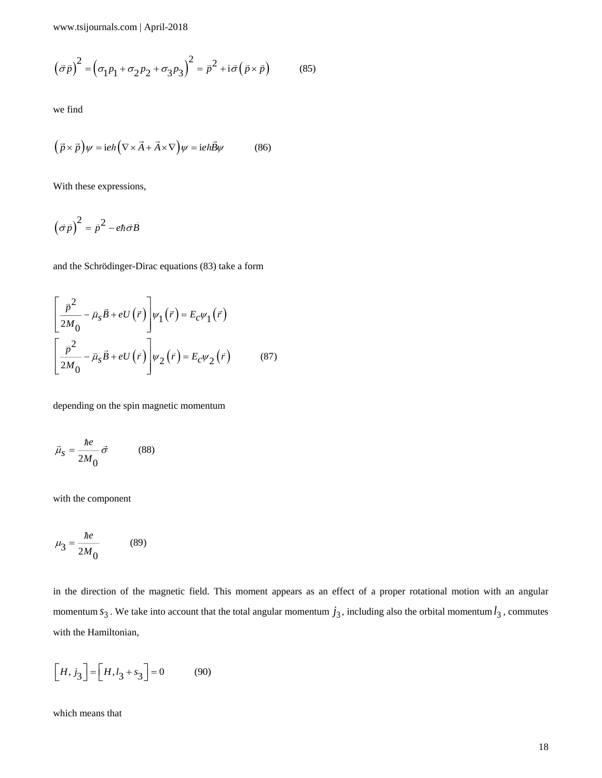$$
(\vec{\sigma}\vec{p})^2 = (\sigma_1 p_1 + \sigma_2 p_2 + \sigma_3 p_3)^2 = \vec{p}^2 + i\vec{\sigma}(\vec{p} \times \vec{p})
$$
(85)

we find

$$
(\vec{p} \times \vec{p})\psi = i e \hbar \left(\nabla \times \vec{A} + \vec{A} \times \nabla\right)\psi = i e \hbar \vec{B}\psi \tag{86}
$$

With these expressions,

 $\left(\vec{\sigma}\vec{p}\right)^2 = \vec{p}^{\,2} - e\hbar\vec{\sigma}\vec{B}$ 

and the Schrödinger-Dirac equations (83) take a form

$$
\left[\frac{\vec{p}^2}{2M_0} - \vec{\mu}_s \vec{B} + eU(\vec{r})\right] \psi_1(\vec{r}) = E_c \psi_1(\vec{r})
$$
\n
$$
\left[\frac{\vec{p}^2}{2M_0} - \vec{\mu}_s \vec{B} + eU(\vec{r})\right] \psi_2(\vec{r}) = E_c \psi_2(\vec{r}) \tag{87}
$$

depending on the spin magnetic momentum

$$
\vec{\mu}_S = \frac{\hbar e}{2M_0} \vec{\sigma} \tag{88}
$$

with the component

$$
\mu_3 = \frac{\hbar e}{2M_0} \tag{89}
$$

 $(\bar{x}\bar{\rho})^2 = (a_1\rho_1 + a_2\rho_2 + a_3\rho_3 + a_4\rho_4) = \bar{r}^2 - i\bar{c}(\bar{p} + \bar{p})$  (85)<br>
so that<br>  $(\bar{\rho} \times \rho) \nu = \text{inf}(\nabla \times \bar{A} + A \times \nabla) \nu = \text{inf} \psi \rho$  (86)<br>
With these expressions,<br>  $(\bar{\rho} \bar{p})^2 = \bar{p}^2 - \alpha \bar{n} \bar{B}$ <br>
and the Schrö in the direction of the magnetic field. This moment appears as an effect of a proper rotational motion with an angular momentum  $s_3$ . We take into account that the total angular momentum  $j_3$ , including also the orbital momentum  $l_3$ , commutes with the Hamiltonian,

$$
\left[H, j_3\right] = \left[H, l_3 + s_3\right] = 0\tag{90}
$$

which means that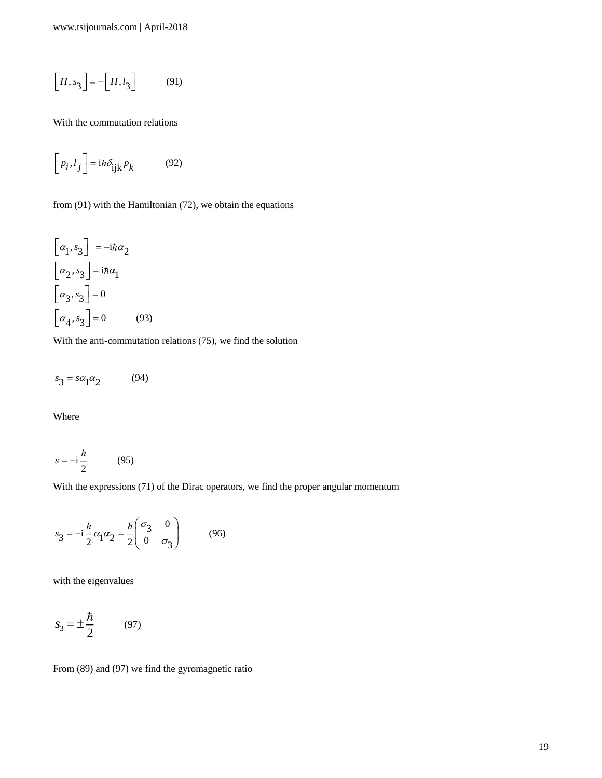$$
\left[H, s_3\right] = -\left[H, l_3\right] \tag{91}
$$

With the commutation relations

$$
\left[p_i, l_j\right] = i\hbar \delta_{ijk} p_k \tag{92}
$$

from (91) with the Hamiltonian (72), we obtain the equations

$$
[H, x_3] = -[H, t_3]
$$
\n(91)

\nWith the commutation relations

\n
$$
[P_1 \cdot i_j] = i\hbar \delta_{ijk} P_k
$$
\n(92)

\nfrom (91) with the Hamiltonian (72), we obtain the equations

\n
$$
[a_1, s_3] = -i\hbar \alpha_2
$$
\n
$$
[a_2, s_3] = i\hbar \alpha_1
$$
\n
$$
[a_3, s_3] = 0
$$
\n
$$
[a_4, s_3] = 0
$$
\n(93)

\nWith the anti-commutation relations (75), we find the solution

\n
$$
s_3 = s\alpha_1 \alpha_2
$$
\n(94)

\nWhere

\n
$$
s = -i\frac{\hbar}{2}
$$
\n(95)

\n
$$
s_3 = -i\frac{\hbar}{2} \alpha_1 \alpha_2 = \frac{\hbar}{2} \begin{pmatrix} \sigma_3 & 0 \\ 0 & \sigma_3 \end{pmatrix}
$$
\n(96)

\nwith the eigenvalues

\n
$$
s_3 = \pm \frac{\hbar}{2}
$$
\n(97)

\nFrom (89) and (97) we find the gyromagnetic ratio

\n19

With the anti-commutation relations (75), we find the solution

$$
s_3 = s\alpha_1\alpha_2 \tag{94}
$$

Where

$$
s = -\mathrm{i}\frac{\hbar}{2} \tag{95}
$$

With the expressions (71) of the Dirac operators, we find the proper angular momentum

$$
s_3 = -i\frac{\hbar}{2}\alpha_1\alpha_2 = \frac{\hbar}{2}\begin{pmatrix} \sigma_3 & 0\\ 0 & \sigma_3 \end{pmatrix}
$$
 (96)

with the eigenvalues

$$
s_3 = \pm \frac{\hbar}{2} \tag{97}
$$

From (89) and (97) we find the gyromagnetic ratio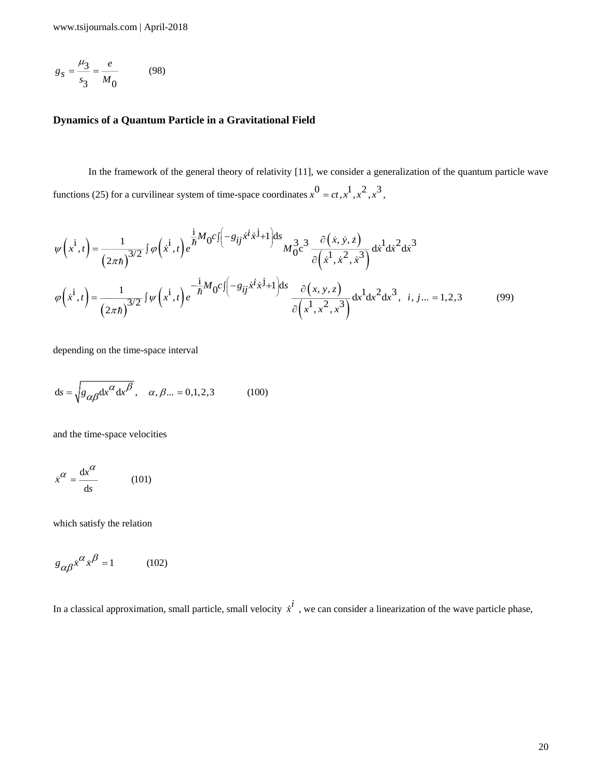$$
g_S = \frac{\mu_3}{s_3} = \frac{e}{M_0}
$$
 (98)

## **Dynamics of a Quantum Particle in a Gravitational Field**

In the framework of the general theory of relativity [11], we consider a generalization of the quantum particle wave functions (25) for a curvilinear system of time-space coordinates  $x^0 = ct, x^1, x^2, x^3$ ,

$$
\psi(x^{i}, t) = \frac{1}{(2\pi\hbar)^{3/2}} \int \varphi(x^{i}, t) e^{\frac{i}{\hbar}M_{0}C\int (-g_{ij}\dot{x}^{i}\dot{x}^{j}+1)ds} M_{0}^{3}c^{3} \frac{\partial(\dot{x}, \dot{y}, \dot{z})}{\partial(\dot{x}^{1}, \dot{x}^{2}, \dot{x}^{3})} d\dot{x}^{1} d\dot{x}^{2} d\dot{x}^{3}
$$

$$
\varphi(x^{i}, t) = \frac{1}{(2\pi\hbar)^{3/2}} \int \psi(x^{i}, t) e^{-\frac{i}{\hbar}M_{0}C\int (-g_{ij}\dot{x}^{i}\dot{x}^{j}+1)ds} \frac{\partial(x, y, z)}{\partial(x^{1}, x^{2}, x^{3})} d\dot{x}^{1} d\dot{x}^{2} d\dot{x}^{3}, \quad i, j... = 1, 2, 3
$$
(99)

depending on the time-space interval

$$
ds = \sqrt{g_{\alpha\beta}dx^{\alpha}dx^{\beta}}, \quad \alpha, \beta... = 0, 1, 2, 3 \quad (100)
$$

and the time-space velocities

$$
\dot{x}^{\alpha} = \frac{\mathrm{d}x^{\alpha}}{\mathrm{d}s} \tag{101}
$$

which satisfy the relation

$$
g_{\alpha\beta}\dot{x}^{\alpha}\dot{x}^{\beta} = 1 \qquad (102)
$$

In a classical approximation, small particle, small velocity  $\dot{x}^i$ , we can consider a linearization of the wave particle phase,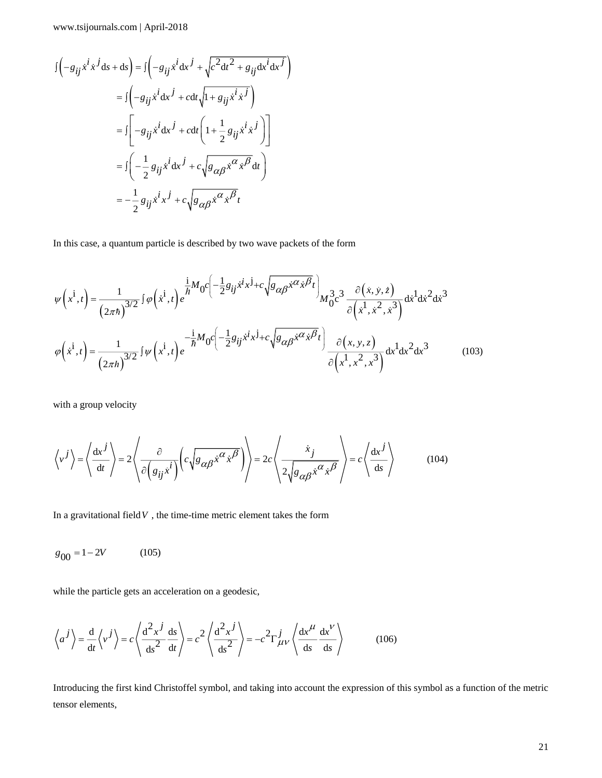$$
\begin{split}\nJ\left(-g_{ij}\dot{x}^i\dot{x}^j\mathrm{d}s + \mathrm{d}s\right) &= \int \left(-g_{ij}\dot{x}^i\mathrm{d}x^j + \sqrt{c^2\mathrm{d}t^2 + g_{ij}\mathrm{d}x^i\mathrm{d}x^j}\right) \\
&= \int \left(-g_{ij}\dot{x}^i\mathrm{d}x^j + c\mathrm{d}t\sqrt{1 + g_{ij}\dot{x}^i\dot{x}^j}\right) \\
&= \int \left[-g_{ij}\dot{x}^i\mathrm{d}x^j + c\mathrm{d}t\left(1 + \frac{1}{2}g_{ij}\dot{x}^i\dot{x}^j\right)\right] \\
&= \int \left(-\frac{1}{2}g_{ij}\dot{x}^i\mathrm{d}x^j + c\sqrt{g_{\alpha\beta}\dot{x}^{\alpha}\dot{x}^{\beta}}\mathrm{d}t\right) \\
&= -\frac{1}{2}g_{ij}\dot{x}^i\dot{x}^j + c\sqrt{g_{\alpha\beta}\dot{x}^{\alpha}\dot{x}^{\beta}}t\n\end{split}
$$

In this case, a quantum particle is described by two wave packets of the form

$$
\psi\left(\dot{x}^{i},t\right) = \frac{1}{\left(2\pi\hbar\right)^{3/2}} \int \varphi\left(\dot{x}^{i},t\right) e^{\frac{i}{\hbar}M_{0}c\left(-\frac{1}{2}g_{ij}\dot{x}^{i}x^{j} + c\sqrt{g_{\alpha\beta}\dot{x}^{\alpha}\dot{x}^{\beta}t}\right)} M_{0}^{3}c^{3} \frac{\partial\left(\dot{x},\dot{y},\dot{z}\right)}{\partial\left(\dot{x}^{i},\dot{x}^{2},\dot{x}^{3}\right)} dx^{1}dx^{2}dx^{3}
$$
\n
$$
\varphi\left(\dot{x}^{i},t\right) = \frac{1}{\left(2\pi\hbar\right)^{3/2}} \int \psi\left(\dot{x}^{i},t\right) e^{-\frac{i}{\hbar}M_{0}c\left(-\frac{1}{2}g_{ij}\dot{x}^{i}x^{j} + c\sqrt{g_{\alpha\beta}\dot{x}^{\alpha}\dot{x}^{\beta}t}\right)} \frac{\partial\left(x,y,z\right)}{\partial\left(x^{i},x^{2},x^{3}\right)} dx^{1}dx^{2}dx^{3}
$$
\n(103)

with a group velocity

$$
\left\langle v^{j} \right\rangle = \left\langle \frac{dx^{j}}{dt} \right\rangle = 2 \left\langle \frac{\partial}{\partial \left( g_{ij} \dot{x}^{i} \right)} \left( c \sqrt{g_{\alpha\beta} \dot{x}^{\alpha} \dot{x}^{\beta}} \right) \right\rangle = 2c \left\langle \frac{\dot{x}_{j}}{2 \sqrt{g_{\alpha\beta} \dot{x}^{\alpha} \dot{x}^{\beta}}} \right\rangle = c \left\langle \frac{dx^{j}}{ds} \right\rangle \tag{104}
$$

In a gravitational field  $V$ , the time-time metric element takes the form

 $g_{00} = 1 - 2V$  (105)

while the particle gets an acceleration on a geodesic,

$$
\left\langle a^{j} \right\rangle = \frac{d}{dt} \left\langle v^{j} \right\rangle = c \left\langle \frac{d^{2} x^{j}}{ds^{2}} \frac{ds}{dt} \right\rangle = c^{2} \left\langle \frac{d^{2} x^{j}}{ds^{2}} \right\rangle = -c^{2} \Gamma_{\mu\nu}^{j} \left\langle \frac{dx^{\mu}}{ds} \frac{dx^{\nu}}{ds} \right\rangle
$$
 (106)

Introducing the first kind Christoffel symbol, and taking into account the expression of this symbol as a function of the metric tensor elements,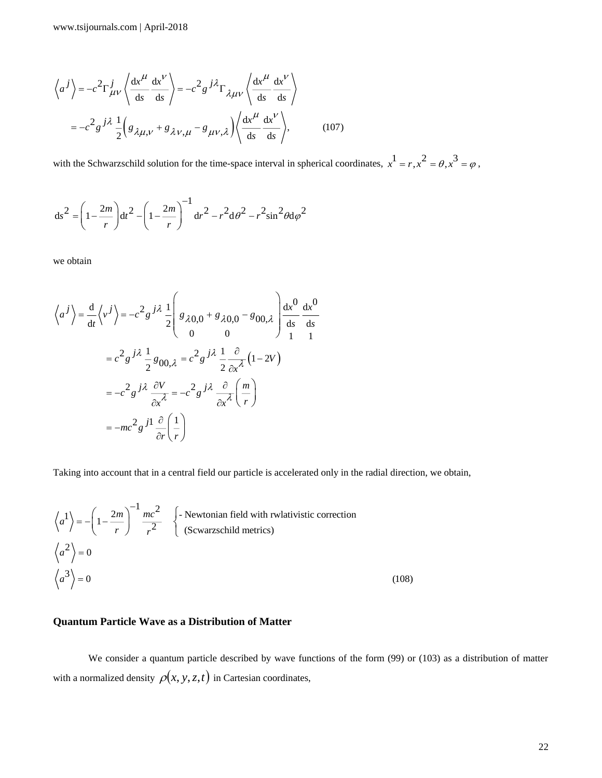$$
\left\langle a^{j} \right\rangle = -c^{2} \Gamma_{\mu\nu}^{j} \left\langle \frac{dx^{\mu}}{ds} \frac{dx^{\nu}}{ds} \right\rangle = -c^{2} g^{j} \lambda \Gamma_{\lambda\mu\nu} \left\langle \frac{dx^{\mu}}{ds} \frac{dx^{\nu}}{ds} \right\rangle
$$

$$
= -c^{2} g^{j} \lambda \frac{1}{2} \left( g_{\lambda\mu,\nu} + g_{\lambda\nu,\mu} - g_{\mu\nu,\lambda} \right) \left\langle \frac{dx^{\mu}}{ds} \frac{dx^{\nu}}{ds} \right\rangle, \tag{107}
$$

with the Schwarzschild solution for the time-space interval in spherical coordinates,  $x^1 = r, x^2 = \theta, x^3 = \varphi$ ,

$$
ds^{2} = \left(1 - \frac{2m}{r}\right)dt^{2} - \left(1 - \frac{2m}{r}\right)^{-1}dr^{2} - r^{2}d\theta^{2} - r^{2}\sin^{2}\theta d\varphi^{2}
$$

we obtain

$$
\left\langle a^{j} \right\rangle = \frac{d}{dt} \left\langle v^{j} \right\rangle = -c^{2} g^{j\lambda} \frac{1}{2} \left( g_{\lambda 0,0} + g_{\lambda 0,0} - g_{00,\lambda} \right) \frac{dx^{0}}{ds} \frac{dx^{0}}{ds}
$$

$$
= c^{2} g^{j\lambda} \frac{1}{2} g_{00,\lambda} = c^{2} g^{j\lambda} \frac{1}{2} \frac{\partial}{\partial x^{\lambda}} (1 - 2V)
$$

$$
= -c^{2} g^{j\lambda} \frac{\partial V}{\partial x^{\lambda}} = -c^{2} g^{j\lambda} \frac{\partial}{\partial x^{\lambda}} \left( \frac{m}{r} \right)
$$

$$
= -mc^{2} g^{j\lambda} \frac{\partial}{\partial r} \left( \frac{1}{r} \right)
$$

Taking into account that in a central field our particle is accelerated only in the radial direction, we obtain,

$$
\left\langle a^{1} \right\rangle = -\left(1 - \frac{2m}{r}\right)^{-1} \frac{mc^{2}}{r^{2}} \quad \left\{\text{- Newtonian field with r whativistic correction}\right.
$$
\n
$$
\left\langle a^{2} \right\rangle = 0
$$
\n
$$
\left\langle a^{3} \right\rangle = 0
$$
\n
$$
(108)
$$

## **Quantum Particle Wave as a Distribution of Matter**

We consider a quantum particle described by wave functions of the form (99) or (103) as a distribution of matter with a normalized density  $\rho(x, y, z, t)$  in Cartesian coordinates,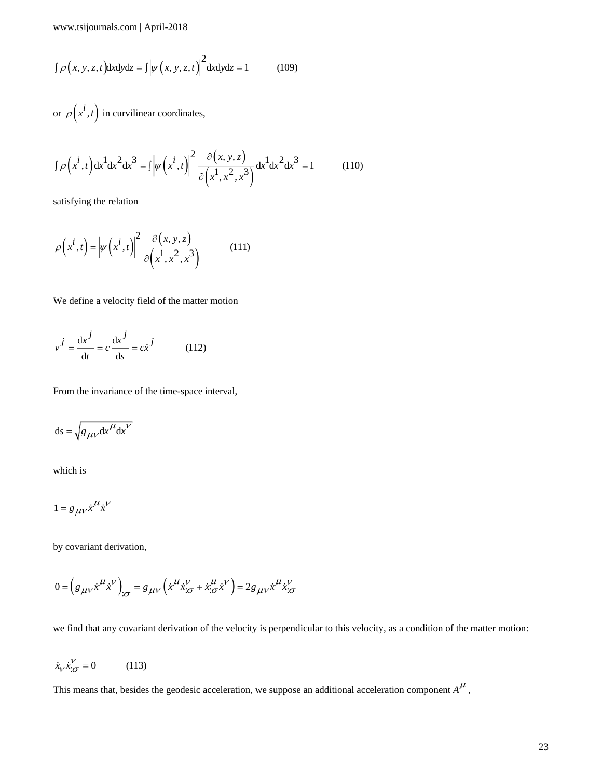$$
\int \rho(x, y, z, t) dxdydz = \int \left| \psi(x, y, z, t) \right|^2 dxdydz = 1
$$
 (109)

or  $\rho(x^i, t)$  in curvilinear coordinates,

$$
\int \rho(x, y, z, t) \text{d}x \text{d}y \text{d}z = \int |\psi(x, y, z, t)|^2 \text{d}x \text{d}z = 1
$$
\n(109)  
\nor  $\rho\left(x^{\frac{1}{2}}, t\right)$  in curvilinear coordinates,  
\n
$$
\int \rho\left(x^{\frac{1}{2}}, t\right) \text{d}x^{\frac{1}{2}} \text{d}x^{\frac{1}{2}} \text{d}x^{\frac{3}{2}} = \int |\psi\left(x^{\frac{1}{2}}, t\right)|^2 \frac{\partial(x, y, z)}{\partial\left(x^{\frac{1}{2}}, x^2, x^3\right)} \text{d}x^{\frac{1}{2}} \text{d}x^2 \text{d}x^3 = 1
$$
\n(110)  
\n
$$
\rho\left(x^{\frac{1}{2}}, t\right) = |\psi\left(x^{\frac{1}{2}}, t\right)|^2 \frac{\partial(x, y, z)}{\partial\left(x^{\frac{1}{2}}, x^2, x^3\right)}
$$
\n(111)  
\nWe define a velocity field of the matter motion  
\n
$$
v^{\frac{1}{2}} = \frac{dv^{\frac{1}{2}}}{dt} = c \frac{dv^{\frac{1}{2}}}{dt} = c \frac{dv^{\frac{1}{2}}}{dt} = c \frac{dv^{\frac{1}{2}}}{dt} = 1
$$
\n(12)  
\nFrom the invariance of the time-space interval,  
\n
$$
ds = \sqrt{\frac{g_{\mu\nu}x^{\mu}x^{\nu}}{dt^{\nu}}}
$$
\nwhich is  
\n
$$
1 = g_{\mu\nu}x^{\mu}x^{\nu}
$$
\nby covariant derivation,  
\n
$$
0 = \left(g_{\mu\nu}x^{\mu}x^{\nu}\right)_{,\sigma} = g_{\mu\nu}\left(x^{\mu}x_{,\sigma}^{\nu} + x_{,\sigma}^{\mu}x^{\nu}\right) = 2g_{\mu\nu}x^{\mu}x_{,\sigma}^{\nu}
$$
\nwe find that any covariant derivative of the velocity is perpendicular to this velocity, as a condition of the matter motion:  
\n
$$
\dot{x}_{\nu}\dot{x}_{,\sigma}^{\nu} = 0
$$
\n(113)  
\nThis means that, besides the geodesic acceleration, we suppose an additional acceleration component  $A^{\mu}$ ,

satisfying the relation

$$
\rho\left(x^{i},t\right) = \left|\psi\left(x^{i},t\right)\right|^{2} \frac{\partial\left(x,y,z\right)}{\partial\left(x^{1},x^{2},x^{3}\right)}
$$
(111)

We define a velocity field of the matter motion

$$
v^{j} = \frac{\mathrm{d}x^{j}}{\mathrm{d}t} = c\frac{\mathrm{d}x^{j}}{\mathrm{d}s} = c\dot{x}^{j}
$$
 (112)

From the invariance of the time-space interval,

$$
ds = \sqrt{g_{\mu\nu} dx^{\mu} dx^{\nu}}
$$

which is

$$
1 = g_{\mu\nu} \dot{x}^{\mu} \dot{x}^{\nu}
$$

by covariant derivation,

$$
0 = \left( g_{\mu\nu} \dot{x}^{\mu} \dot{x}^{\nu} \right)_{;\sigma} = g_{\mu\nu} \left( \dot{x}^{\mu} \dot{x}^{\nu}_{;\sigma} + \dot{x}^{\mu} \dot{x}^{\nu} \right) = 2g_{\mu\nu} \dot{x}^{\mu} \dot{x}^{\nu}_{;\sigma}
$$

we find that any covariant derivation of the velocity is perpendicular to this velocity, as a condition of the matter motion:

$$
\dot{x}_{V} \dot{x}'_{C} = 0 \qquad (113)
$$

This means that, besides the geodesic acceleration, we suppose an additional acceleration component  $A^{\mu}$ ,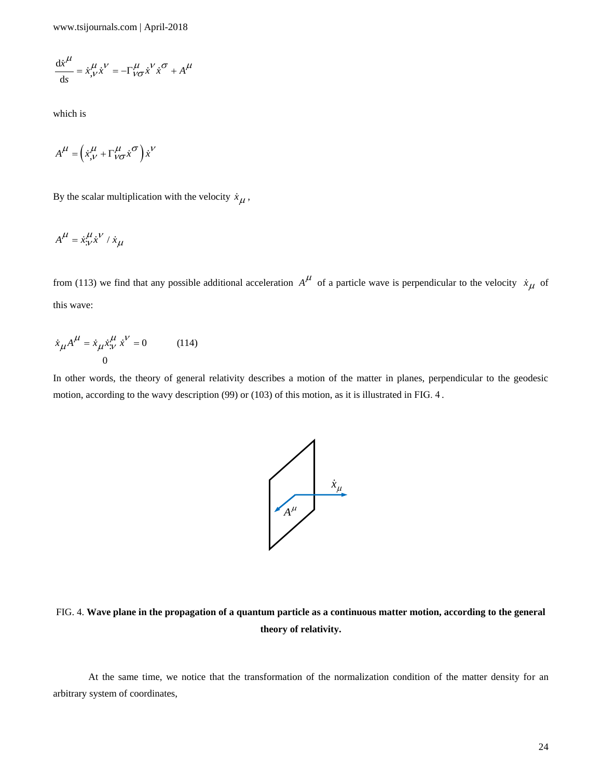$$
\frac{\mathrm{d}\dot{x}^{\mu}}{\mathrm{d}s} = \dot{x}^{\mu}_{,\nu}\dot{x}^{\nu} = -\Gamma^{\mu}_{\nu\sigma}\dot{x}^{\nu}\dot{x}^{\sigma} + A^{\mu}
$$

which is

$$
A^{\mu} = \left(\dot{x}_{,V}^{\mu} + \Gamma_{V\sigma}^{\mu} \dot{x}^{\sigma}\right) \dot{x}^V
$$

By the scalar multiplication with the velocity  $\dot{x}_{\mu}$ ,

$$
A^{\mu} = \dot{x}_{\nu}^{\mu} \dot{x}^{\nu} / \dot{x}_{\mu}
$$

from (113) we find that any possible additional acceleration  $A^{\mu}$  of a particle wave is perpendicular to the velocity  $\dot{x}_{\mu}$  of this wave:

$$
\dot{x}_{\mu}A^{\mu} = \dot{x}_{\mu}\dot{x}^{\mu}_{;\nu}\dot{x}^{\nu} = 0 \qquad (114)
$$

In other words, the theory of general relativity describes a motion of the matter in planes, perpendicular to the geodesic motion, according to the wavy description (99) or (103) of this motion, as it is illustrated in FIG. 4 .



## FIG. 4. **Wave plane in the propagation of a quantum particle as a continuous matter motion, according to the general theory of relativity.**

At the same time, we notice that the transformation of the normalization condition of the matter density for an arbitrary system of coordinates,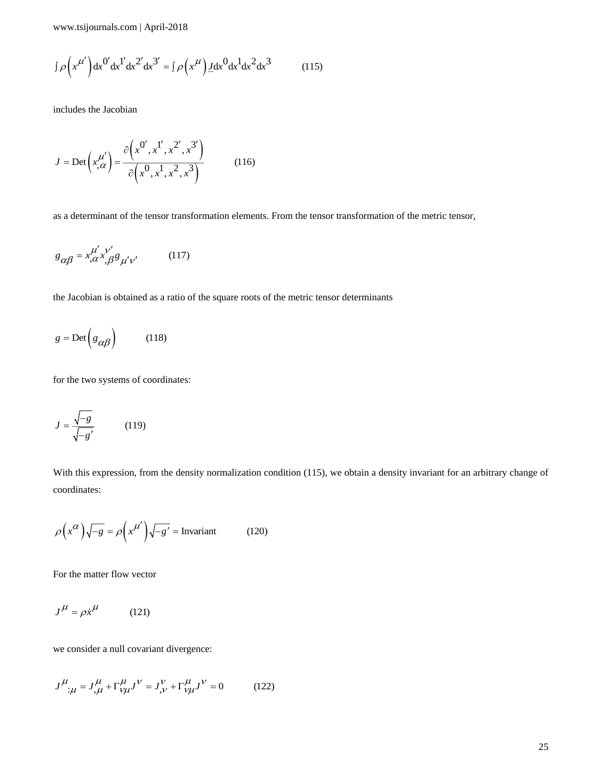$$
\int \rho \left( x^{\mu'} \right) dx^{0'} dx^{1'} dx^{2'} dx^{3'} = \int \rho \left( x^{\mu} \right) \underline{J} dx^{0} dx^{1} dx^{2} dx^{3}
$$
 (115)

includes the Jacobian

$$
J = \text{Det}\left(x_{,\alpha}^{\mu'}\right) = \frac{\partial \left(x^{0'}, x^{1'}, x^{2'}, x^{3'}\right)}{\partial \left(x^{0}, x^{1}, x^{2}, x^{3}\right)}
$$
(116)

as a determinant of the tensor transformation elements. From the tensor transformation of the metric tensor,

$$
g_{\alpha\beta} = x^{\mu'}_{,\alpha} x^{\nu'}_{,\beta} g_{\mu'\nu'} \tag{117}
$$

the Jacobian is obtained as a ratio of the square roots of the metric tensor determinants

$$
g = \text{Det}\left(g_{\alpha\beta}\right) \tag{118}
$$

for the two systems of coordinates:

$$
J = \frac{\sqrt{-g}}{\sqrt{-g'}}
$$
 (119)

(b)  $A^{(2)}$  (b)  $B^{(2)}$  (c)  $B^{(2)}$  (c)  $B^{(2)}$  (c)  $B^{(2)}$  (c)  $B^{(2)}$  (c)  $B^{(2)}$  (c)  $B^{(2)}$  (c)  $B^{(2)}$  (c)  $B^{(2)}$  (c)  $B^{(2)}$  (c)  $B^{(2)}$  (c)  $B^{(2)}$  (c)  $B^{(2)}$  (c)  $B^{(2)}$  (c)  $B^{(2)}$  (c)  $B^{(2)}$  (c)  $B^{(2)}$  (c) With this expression, from the density normalization condition (115), we obtain a density invariant for an arbitrary change of coordinates:

$$
\rho\left(x^{\alpha}\right)\sqrt{-g} = \rho\left(x^{\mu'}\right)\sqrt{-g'} = \text{Invariant} \tag{120}
$$

For the matter flow vector

$$
J^{\mu} = \rho \dot{x}^{\mu} \tag{121}
$$

we consider a null covariant divergence:

$$
J^{\mu}{}_{;\mu} = J^{\mu}_{,\mu} + \Gamma^{\mu}_{\nu\mu} J^{\nu} = J^{\nu}_{,\nu} + \Gamma^{\mu}_{\nu\mu} J^{\nu} = 0 \tag{122}
$$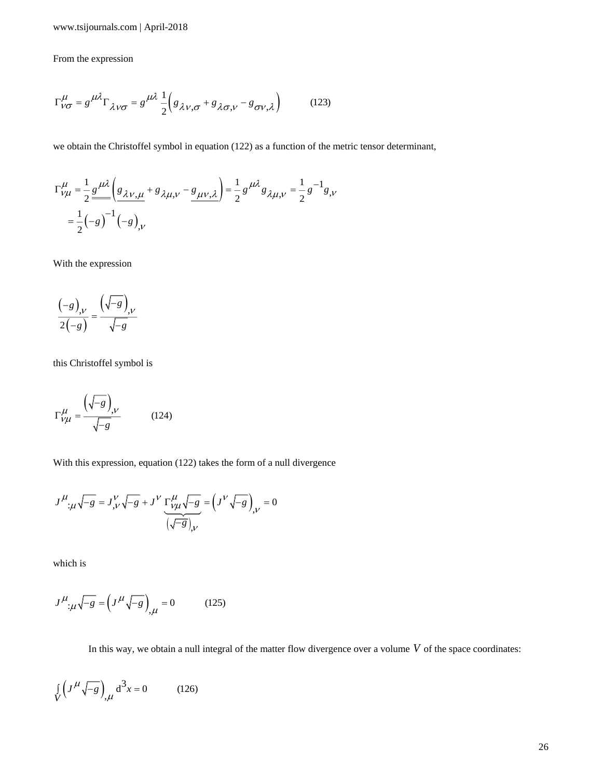#### From the expression

$$
\Gamma^{\mu}_{V\sigma} = g^{\mu\lambda} \Gamma_{\lambda V\sigma} = g^{\mu\lambda} \frac{1}{2} \Big( g_{\lambda V, \sigma} + g_{\lambda \sigma, V} - g_{\sigma V, \lambda} \Big) \tag{123}
$$

we obtain the Christoffel symbol in equation (122) as a function of the metric tensor determinant,

$$
\Gamma_{V\mu}^{\mu} = \frac{1}{2} \frac{g^{\mu\lambda}}{g^{\mu\lambda}} \left( \frac{g_{\lambda V,\mu}}{g_{\lambda\mu,V}} + g_{\lambda\mu,V} - \frac{g_{\mu V,\lambda}}{g^{\mu\lambda}} \right) = \frac{1}{2} g^{\mu\lambda} g_{\lambda\mu,V} = \frac{1}{2} g^{-1} g_{,V}
$$

$$
= \frac{1}{2} (-g)^{-1} (-g)_{,V}
$$

With the expression

$$
\frac{\left(-g\right)_{,\nu}}{2\left(-g\right)} = \frac{\left(\sqrt{-g}\right)_{,\nu}}{\sqrt{-g}}
$$

this Christoffel symbol is

$$
\Gamma^{\mu}_{V\mu} = \frac{\left(\sqrt{-g}\right)_{,V}}{\sqrt{-g}}\tag{124}
$$

With this expression, equation (122) takes the form of a null divergence

$$
J^{\mu}{}_{;\mu}\sqrt{-g} = J^{\nu}_{,\nu}\sqrt{-g} + J^{\nu}\underbrace{\Gamma^{\mu}_{\nu\mu}\sqrt{-g}}_{(\sqrt{-g})_{,\nu}} = (J^{\nu}\sqrt{-g})_{,\nu} = 0
$$

which is

$$
J^{\mu}{}_{;\mu}\sqrt{-g} = \left(J^{\mu}\sqrt{-g}\right)_{,\mu} = 0 \tag{125}
$$

In this way, we obtain a null integral of the matter flow divergence over a volume  $V$  of the space coordinates:

$$
\int\limits_V \left( J^{\mu} \sqrt{-g} \right)_{,\mu} d^3 x = 0 \tag{126}
$$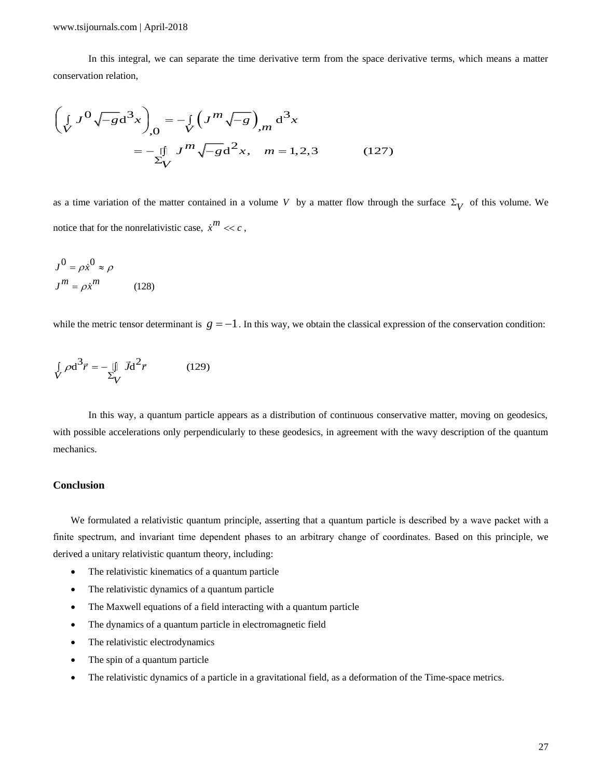In this integral, we can separate the time derivative term from the space derivative terms, which means a matter conservation relation,

In this integral, we can separate the time derivative term from the space de  
\nconservation relation,  
\n
$$
\left(\int_{V} J^{0} \sqrt{-g} d^{3}x\right)_{,0} = -\int_{V} \left(J^{m} \sqrt{-g}\right)_{,m} d^{3}x
$$
\n
$$
= -\int_{V} J^{m} \sqrt{-g} d^{2}x, \quad m = 1, 2, 3 \quad (127)
$$

as a time variation of the matter contained in a volume V by a matter flow through the surface  $\Sigma_V$  of this volume. We notice that for the nonrelativistic case,  $\dot{x}^m \ll c$ ,

$$
J^0 = \rho \dot{x}^0 \approx \rho
$$
  

$$
J^m = \rho \dot{x}^m
$$
 (128)

while the metric tensor determinant is  $g = -1$ . In this way, we obtain the classical expression of the conservation condition:

$$
\int_{V} \rho \mathbf{d}^{3} \vec{r} = -\iint_{V} \vec{J} \mathbf{d}^{2} \vec{r}
$$
\n(129)

In this way, a quantum particle appears as a distribution of continuous conservative matter, moving on geodesics, with possible accelerations only perpendicularly to these geodesics, in agreement with the wavy description of the quantum mechanics.

## **Conclusion**

We formulated a relativistic quantum principle, asserting that a quantum particle is described by a wave packet with a finite spectrum, and invariant time dependent phases to an arbitrary change of coordinates. Based on this principle, we derived a unitary relativistic quantum theory, including:

- The relativistic kinematics of a quantum particle
- The relativistic dynamics of a quantum particle
- The Maxwell equations of a field interacting with a quantum particle
- The dynamics of a quantum particle in electromagnetic field
- The relativistic electrodynamics
- The spin of a quantum particle
- The relativistic dynamics of a particle in a gravitational field, as a deformation of the Time-space metrics.